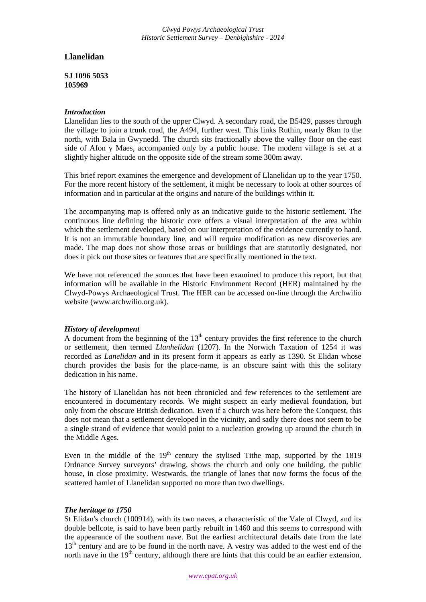# **Llanelidan**

**SJ 1096 5053 105969**

## *Introduction*

Llanelidan lies to the south of the upper Clwyd. A secondary road, the B5429, passes through the village to join a trunk road, the A494, further west. This links Ruthin, nearly 8km to the north, with Bala in Gwynedd. The church sits fractionally above the valley floor on the east side of Afon y Maes, accompanied only by a public house. The modern village is set at a slightly higher altitude on the opposite side of the stream some 300m away.

This brief report examines the emergence and development of Llanelidan up to the year 1750. For the more recent history of the settlement, it might be necessary to look at other sources of information and in particular at the origins and nature of the buildings within it.

The accompanying map is offered only as an indicative guide to the historic settlement. The continuous line defining the historic core offers a visual interpretation of the area within which the settlement developed, based on our interpretation of the evidence currently to hand. It is not an immutable boundary line, and will require modification as new discoveries are made. The map does not show those areas or buildings that are statutorily designated, nor does it pick out those sites or features that are specifically mentioned in the text.

We have not referenced the sources that have been examined to produce this report, but that information will be available in the Historic Environment Record (HER) maintained by the Clwyd-Powys Archaeological Trust. The HER can be accessed on-line through the Archwilio website (www.archwilio.org.uk).

## *History of development*

A document from the beginning of the  $13<sup>th</sup>$  century provides the first reference to the church or settlement, then termed *Llanhelidan* (1207). In the Norwich Taxation of 1254 it was recorded as *Lanelidan* and in its present form it appears as early as 1390. St Elidan whose church provides the basis for the place-name, is an obscure saint with this the solitary dedication in his name.

The history of Llanelidan has not been chronicled and few references to the settlement are encountered in documentary records. We might suspect an early medieval foundation, but only from the obscure British dedication. Even if a church was here before the Conquest, this does not mean that a settlement developed in the vicinity, and sadly there does not seem to be a single strand of evidence that would point to a nucleation growing up around the church in the Middle Ages.

Even in the middle of the  $19<sup>th</sup>$  century the stylised Tithe map, supported by the 1819 Ordnance Survey surveyors' drawing, shows the church and only one building, the public house, in close proximity. Westwards, the triangle of lanes that now forms the focus of the scattered hamlet of Llanelidan supported no more than two dwellings.

# *The heritage to 1750*

St Elidan's church (100914), with its two naves, a characteristic of the Vale of Clwyd, and its double bellcote, is said to have been partly rebuilt in 1460 and this seems to correspond with the appearance of the southern nave. But the earliest architectural details date from the late 13<sup>th</sup> century and are to be found in the north nave. A vestry was added to the west end of the north nave in the  $19<sup>th</sup>$  century, although there are hints that this could be an earlier extension,